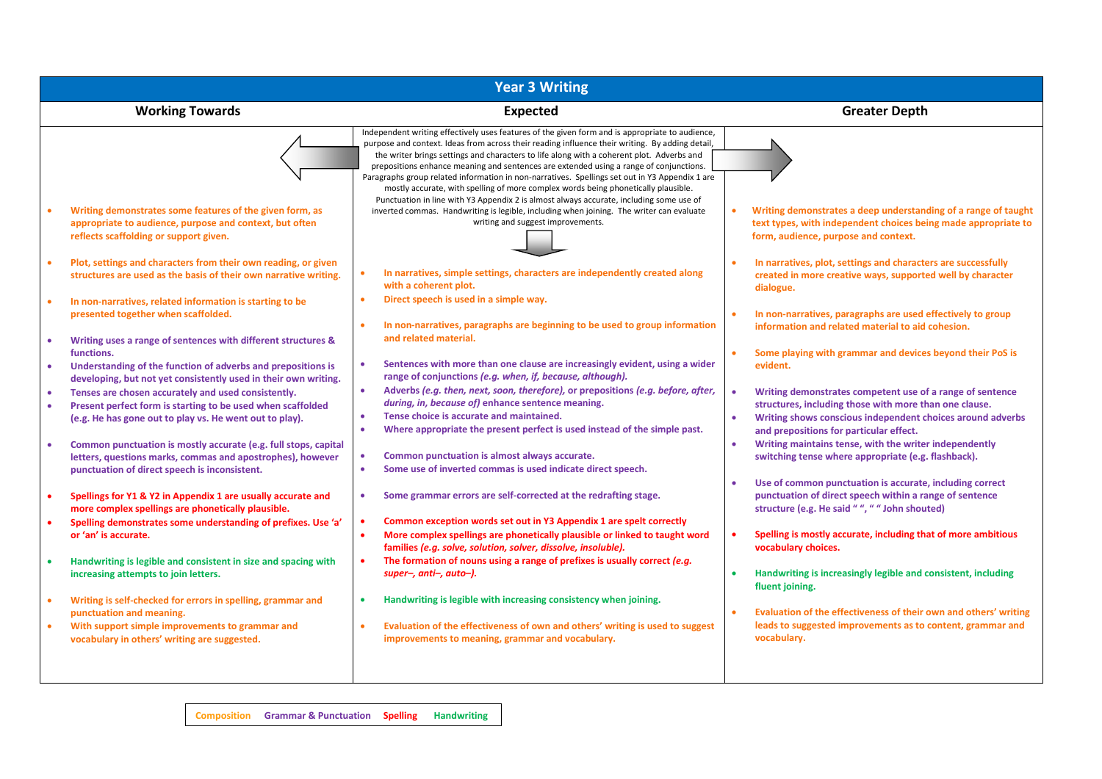| <b>Year 3 Writing</b>                                                                                                                                                                                           |                                                                                                                                                                                                                                                                                                                                                                                                                                                                                                                                                                                   |                                                                                                                                                                                           |  |  |  |  |  |
|-----------------------------------------------------------------------------------------------------------------------------------------------------------------------------------------------------------------|-----------------------------------------------------------------------------------------------------------------------------------------------------------------------------------------------------------------------------------------------------------------------------------------------------------------------------------------------------------------------------------------------------------------------------------------------------------------------------------------------------------------------------------------------------------------------------------|-------------------------------------------------------------------------------------------------------------------------------------------------------------------------------------------|--|--|--|--|--|
| <b>Working Towards</b>                                                                                                                                                                                          | <b>Expected</b>                                                                                                                                                                                                                                                                                                                                                                                                                                                                                                                                                                   | <b>Greater Depth</b>                                                                                                                                                                      |  |  |  |  |  |
|                                                                                                                                                                                                                 | Independent writing effectively uses features of the given form and is appropriate to audience,<br>purpose and context. Ideas from across their reading influence their writing. By adding detail,<br>the writer brings settings and characters to life along with a coherent plot. Adverbs and<br>prepositions enhance meaning and sentences are extended using a range of conjunctions.<br>Paragraphs group related information in non-narratives. Spellings set out in Y3 Appendix 1 are<br>mostly accurate, with spelling of more complex words being phonetically plausible. |                                                                                                                                                                                           |  |  |  |  |  |
| Writing demonstrates some features of the given form, as<br>appropriate to audience, purpose and context, but often<br>reflects scaffolding or support given.                                                   | Punctuation in line with Y3 Appendix 2 is almost always accurate, including some use of<br>inverted commas. Handwriting is legible, including when joining. The writer can evaluate<br>writing and suggest improvements.                                                                                                                                                                                                                                                                                                                                                          | Writing demonstrates a deep understanding of a range of taught<br>text types, with independent choices being made appropriate to<br>form, audience, purpose and context.                  |  |  |  |  |  |
| Plot, settings and characters from their own reading, or given<br>$\bullet$<br>structures are used as the basis of their own narrative writing.<br>In non-narratives, related information is starting to be     | In narratives, simple settings, characters are independently created along<br>with a coherent plot.<br>Direct speech is used in a simple way.<br>$\bullet$                                                                                                                                                                                                                                                                                                                                                                                                                        | In narratives, plot, settings and characters are successfully<br>created in more creative ways, supported well by character<br>dialogue.                                                  |  |  |  |  |  |
| presented together when scaffolded.                                                                                                                                                                             | In non-narratives, paragraphs are beginning to be used to group information<br>and related material.                                                                                                                                                                                                                                                                                                                                                                                                                                                                              | In non-narratives, paragraphs are used effectively to group<br>information and related material to aid cohesion.                                                                          |  |  |  |  |  |
| Writing uses a range of sentences with different structures &<br>functions.<br>Understanding of the function of adverbs and prepositions is                                                                     | Sentences with more than one clause are increasingly evident, using a wider<br>range of conjunctions (e.g. when, if, because, although).                                                                                                                                                                                                                                                                                                                                                                                                                                          | Some playing with grammar and devices beyond their PoS is<br>evident.                                                                                                                     |  |  |  |  |  |
| developing, but not yet consistently used in their own writing.<br>Tenses are chosen accurately and used consistently.<br>$\bullet$<br>Present perfect form is starting to be used when scaffolded<br>$\bullet$ | Adverbs (e.g. then, next, soon, therefore), or prepositions (e.g. before, after,<br>$\bullet$<br>during, in, because of) enhance sentence meaning.                                                                                                                                                                                                                                                                                                                                                                                                                                | Writing demonstrates competent use of a range of sentence<br>structures, including those with more than one clause.                                                                       |  |  |  |  |  |
| (e.g. He has gone out to play vs. He went out to play).<br>Common punctuation is mostly accurate (e.g. full stops, capital                                                                                      | Tense choice is accurate and maintained.<br>$\bullet$<br>Where appropriate the present perfect is used instead of the simple past.<br>٠                                                                                                                                                                                                                                                                                                                                                                                                                                           | Writing shows conscious independent choices around adverbs<br>$\bullet$<br>and prepositions for particular effect.<br>Writing maintains tense, with the writer independently<br>$\bullet$ |  |  |  |  |  |
| letters, questions marks, commas and apostrophes), however<br>punctuation of direct speech is inconsistent.                                                                                                     | Common punctuation is almost always accurate.<br>۰<br>Some use of inverted commas is used indicate direct speech.<br>٠                                                                                                                                                                                                                                                                                                                                                                                                                                                            | switching tense where appropriate (e.g. flashback).<br>Use of common punctuation is accurate, including correct<br>$\bullet$                                                              |  |  |  |  |  |
| Spellings for Y1 & Y2 in Appendix 1 are usually accurate and<br>$\bullet$<br>more complex spellings are phonetically plausible.                                                                                 | Some grammar errors are self-corrected at the redrafting stage.                                                                                                                                                                                                                                                                                                                                                                                                                                                                                                                   | punctuation of direct speech within a range of sentence<br>structure (e.g. He said "", " " John shouted)                                                                                  |  |  |  |  |  |
| Spelling demonstrates some understanding of prefixes. Use 'a'<br>$\bullet$<br>or 'an' is accurate.                                                                                                              | Common exception words set out in Y3 Appendix 1 are spelt correctly<br>٠<br>More complex spellings are phonetically plausible or linked to taught word<br>٠<br>families (e.g. solve, solution, solver, dissolve, insoluble).                                                                                                                                                                                                                                                                                                                                                      | Spelling is mostly accurate, including that of more ambitious<br>vocabulary choices.                                                                                                      |  |  |  |  |  |
| Handwriting is legible and consistent in size and spacing with<br>increasing attempts to join letters.                                                                                                          | The formation of nouns using a range of prefixes is usually correct (e.g.<br>$\bullet$<br>super-, anti-, auto-).                                                                                                                                                                                                                                                                                                                                                                                                                                                                  | Handwriting is increasingly legible and consistent, including<br>$\bullet$<br>fluent joining.                                                                                             |  |  |  |  |  |
| Writing is self-checked for errors in spelling, grammar and<br>$\bullet$<br>punctuation and meaning.<br>With support simple improvements to grammar and<br>$\bullet$                                            | Handwriting is legible with increasing consistency when joining.<br>$\bullet$<br>Evaluation of the effectiveness of own and others' writing is used to suggest<br>$\bullet$                                                                                                                                                                                                                                                                                                                                                                                                       | Evaluation of the effectiveness of their own and others' writing<br>$\bullet$<br>leads to suggested improvements as to content, grammar and                                               |  |  |  |  |  |
| vocabulary in others' writing are suggested.                                                                                                                                                                    | improvements to meaning, grammar and vocabulary.                                                                                                                                                                                                                                                                                                                                                                                                                                                                                                                                  | vocabulary.                                                                                                                                                                               |  |  |  |  |  |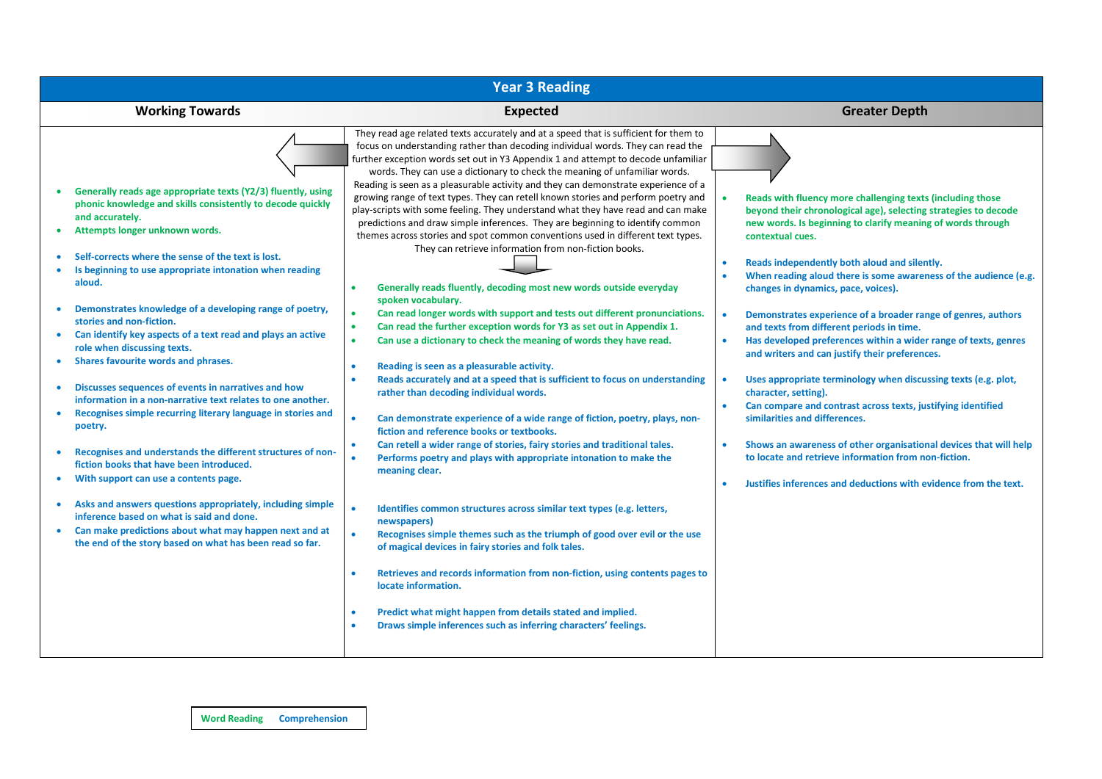| <b>Year 3 Reading</b>                                                                                                                                                                                                                                                                                                                                                                                                                                                                                                                                                                                                                                                                                                                                                                                                                                                                                                                                                                                                                                                                                                        |                                                                                                                                                                                                                                                                                                                                                                                                                                                                                                                                                                                                                                                                                                                                                                                                                                                                                                                                                                                                                                                                                                                                                                                                                                                                                                                                                                                                                                                                                                                                                                                                                                                                                                                                                                                                                                                                                                                                                                                                                                                                                                                                                                                                                   |                                                                                                                                                                                                                                                                                                                                                                                                                                                                                                                                                                                                                                                                                                                                                                                                                                                                                                                                                                                                            |  |  |  |  |  |  |
|------------------------------------------------------------------------------------------------------------------------------------------------------------------------------------------------------------------------------------------------------------------------------------------------------------------------------------------------------------------------------------------------------------------------------------------------------------------------------------------------------------------------------------------------------------------------------------------------------------------------------------------------------------------------------------------------------------------------------------------------------------------------------------------------------------------------------------------------------------------------------------------------------------------------------------------------------------------------------------------------------------------------------------------------------------------------------------------------------------------------------|-------------------------------------------------------------------------------------------------------------------------------------------------------------------------------------------------------------------------------------------------------------------------------------------------------------------------------------------------------------------------------------------------------------------------------------------------------------------------------------------------------------------------------------------------------------------------------------------------------------------------------------------------------------------------------------------------------------------------------------------------------------------------------------------------------------------------------------------------------------------------------------------------------------------------------------------------------------------------------------------------------------------------------------------------------------------------------------------------------------------------------------------------------------------------------------------------------------------------------------------------------------------------------------------------------------------------------------------------------------------------------------------------------------------------------------------------------------------------------------------------------------------------------------------------------------------------------------------------------------------------------------------------------------------------------------------------------------------------------------------------------------------------------------------------------------------------------------------------------------------------------------------------------------------------------------------------------------------------------------------------------------------------------------------------------------------------------------------------------------------------------------------------------------------------------------------------------------------|------------------------------------------------------------------------------------------------------------------------------------------------------------------------------------------------------------------------------------------------------------------------------------------------------------------------------------------------------------------------------------------------------------------------------------------------------------------------------------------------------------------------------------------------------------------------------------------------------------------------------------------------------------------------------------------------------------------------------------------------------------------------------------------------------------------------------------------------------------------------------------------------------------------------------------------------------------------------------------------------------------|--|--|--|--|--|--|
| <b>Working Towards</b>                                                                                                                                                                                                                                                                                                                                                                                                                                                                                                                                                                                                                                                                                                                                                                                                                                                                                                                                                                                                                                                                                                       | <b>Expected</b>                                                                                                                                                                                                                                                                                                                                                                                                                                                                                                                                                                                                                                                                                                                                                                                                                                                                                                                                                                                                                                                                                                                                                                                                                                                                                                                                                                                                                                                                                                                                                                                                                                                                                                                                                                                                                                                                                                                                                                                                                                                                                                                                                                                                   | <b>Greater Depth</b>                                                                                                                                                                                                                                                                                                                                                                                                                                                                                                                                                                                                                                                                                                                                                                                                                                                                                                                                                                                       |  |  |  |  |  |  |
| Generally reads age appropriate texts (Y2/3) fluently, using<br>phonic knowledge and skills consistently to decode quickly<br>and accurately.<br>Attempts longer unknown words.<br>Self-corrects where the sense of the text is lost.<br>Is beginning to use appropriate intonation when reading<br>aloud.<br>Demonstrates knowledge of a developing range of poetry,<br>stories and non-fiction.<br>Can identify key aspects of a text read and plays an active<br>role when discussing texts.<br>Shares favourite words and phrases.<br>Discusses sequences of events in narratives and how<br>information in a non-narrative text relates to one another.<br>Recognises simple recurring literary language in stories and<br>poetry.<br>Recognises and understands the different structures of non-<br>fiction books that have been introduced.<br>With support can use a contents page.<br>Asks and answers questions appropriately, including simple<br>inference based on what is said and done.<br>Can make predictions about what may happen next and at<br>the end of the story based on what has been read so far. | They read age related texts accurately and at a speed that is sufficient for them to<br>focus on understanding rather than decoding individual words. They can read the<br>further exception words set out in Y3 Appendix 1 and attempt to decode unfamiliar<br>words. They can use a dictionary to check the meaning of unfamiliar words.<br>Reading is seen as a pleasurable activity and they can demonstrate experience of a<br>growing range of text types. They can retell known stories and perform poetry and<br>play-scripts with some feeling. They understand what they have read and can make<br>predictions and draw simple inferences. They are beginning to identify common<br>themes across stories and spot common conventions used in different text types.<br>They can retrieve information from non-fiction books.<br>Generally reads fluently, decoding most new words outside everyday<br>spoken vocabulary.<br>Can read longer words with support and tests out different pronunciations.<br>$\bullet$<br>Can read the further exception words for Y3 as set out in Appendix 1.<br>$\bullet$<br>Can use a dictionary to check the meaning of words they have read.<br>$\bullet$<br>Reading is seen as a pleasurable activity.<br>$\bullet$<br>Reads accurately and at a speed that is sufficient to focus on understanding<br>rather than decoding individual words.<br>Can demonstrate experience of a wide range of fiction, poetry, plays, non-<br>fiction and reference books or textbooks.<br>Can retell a wider range of stories, fairy stories and traditional tales.<br>$\bullet$<br>Performs poetry and plays with appropriate intonation to make the<br>meaning clear.<br>Identifies common structures across similar text types (e.g. letters,<br>newspapers)<br>Recognises simple themes such as the triumph of good over evil or the use<br>of magical devices in fairy stories and folk tales.<br>Retrieves and records information from non-fiction, using contents pages to<br>$\bullet$<br>locate information.<br>Predict what might happen from details stated and implied.<br>$\bullet$<br>Draws simple inferences such as inferring characters' feelings.<br>$\bullet$ | Reads with fluency more challenging texts (including those<br>beyond their chronological age), selecting strategies to decode<br>new words. Is beginning to clarify meaning of words through<br>contextual cues.<br>Reads independently both aloud and silently.<br>When reading aloud there is some awareness of the audience (e.g.<br>changes in dynamics, pace, voices).<br>Demonstrates experience of a broader range of genres, authors<br>and texts from different periods in time.<br>Has developed preferences within a wider range of texts, genres<br>and writers and can justify their preferences.<br>Uses appropriate terminology when discussing texts (e.g. plot,<br>character, setting).<br>Can compare and contrast across texts, justifying identified<br>similarities and differences.<br>Shows an awareness of other organisational devices that will help<br>to locate and retrieve information from non-fiction.<br>Justifies inferences and deductions with evidence from the text. |  |  |  |  |  |  |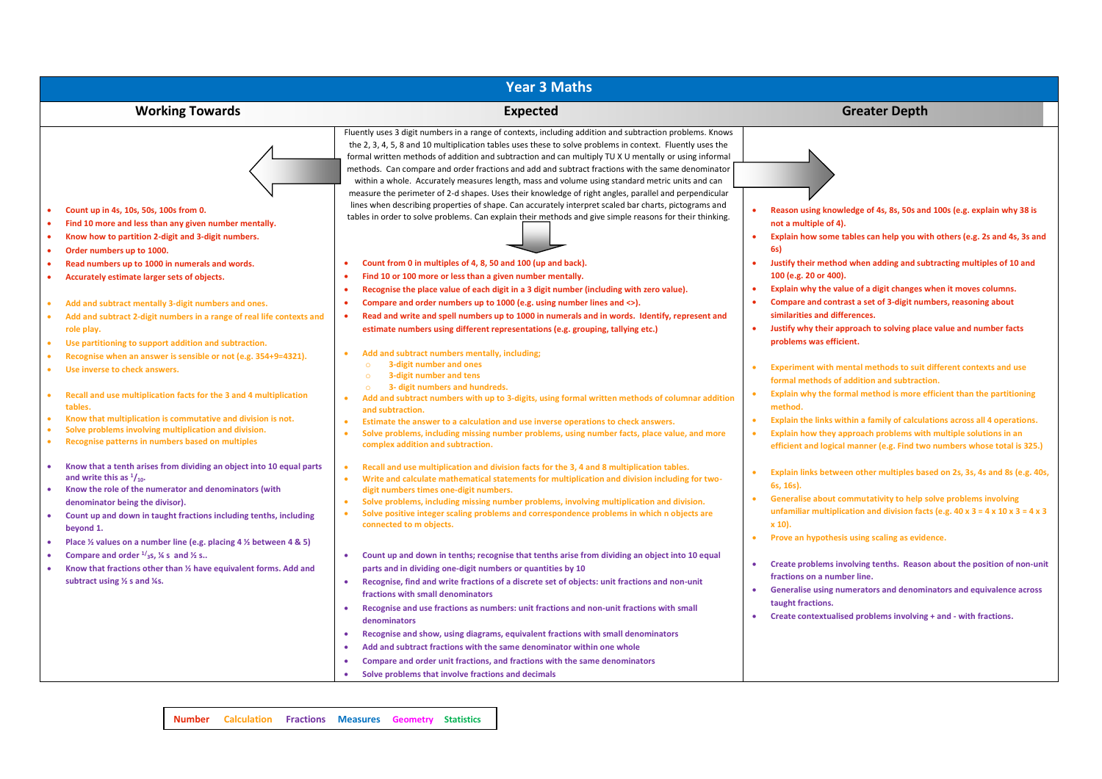| <b>Year 3 Maths</b>                                                                                                                                                                                                                                                                                                                                              |                                                                                                                                                                                                                                                                                                                                                                                                                                                                                                                                                                                                                                                                                                                                                                                                                                                                      |                                                                                                                                                                                                                                                                                                                                                    |  |  |  |  |  |  |
|------------------------------------------------------------------------------------------------------------------------------------------------------------------------------------------------------------------------------------------------------------------------------------------------------------------------------------------------------------------|----------------------------------------------------------------------------------------------------------------------------------------------------------------------------------------------------------------------------------------------------------------------------------------------------------------------------------------------------------------------------------------------------------------------------------------------------------------------------------------------------------------------------------------------------------------------------------------------------------------------------------------------------------------------------------------------------------------------------------------------------------------------------------------------------------------------------------------------------------------------|----------------------------------------------------------------------------------------------------------------------------------------------------------------------------------------------------------------------------------------------------------------------------------------------------------------------------------------------------|--|--|--|--|--|--|
| <b>Working Towards</b>                                                                                                                                                                                                                                                                                                                                           | <b>Expected</b>                                                                                                                                                                                                                                                                                                                                                                                                                                                                                                                                                                                                                                                                                                                                                                                                                                                      | <b>Greater Depth</b>                                                                                                                                                                                                                                                                                                                               |  |  |  |  |  |  |
| Count up in 4s, 10s, 50s, 100s from 0.<br>Find 10 more and less than any given number mentally.<br>Know how to partition 2-digit and 3-digit numbers.<br>Order numbers up to 1000.                                                                                                                                                                               | Fluently uses 3 digit numbers in a range of contexts, including addition and subtraction problems. Knows<br>the 2, 3, 4, 5, 8 and 10 multiplication tables uses these to solve problems in context. Fluently uses the<br>formal written methods of addition and subtraction and can multiply TU X U mentally or using informal<br>methods. Can compare and order fractions and add and subtract fractions with the same denominator<br>within a whole. Accurately measures length, mass and volume using standard metric units and can<br>measure the perimeter of 2-d shapes. Uses their knowledge of right angles, parallel and perpendicular<br>lines when describing properties of shape. Can accurately interpret scaled bar charts, pictograms and<br>tables in order to solve problems. Can explain their methods and give simple reasons for their thinking. | Reason using knowledge of 4s, 8s, 50s and 100s (e.g. explain why 38 is<br>not a multiple of 4).<br>Explain how some tables can help you with others (e.g. 2s and 4s, 3s and<br>6s)                                                                                                                                                                 |  |  |  |  |  |  |
| Read numbers up to 1000 in numerals and words.<br>Accurately estimate larger sets of objects.                                                                                                                                                                                                                                                                    | Count from 0 in multiples of 4, 8, 50 and 100 (up and back).<br>$\bullet$<br>Find 10 or 100 more or less than a given number mentally.<br>Recognise the place value of each digit in a 3 digit number (including with zero value).<br>$\bullet$                                                                                                                                                                                                                                                                                                                                                                                                                                                                                                                                                                                                                      | Justify their method when adding and subtracting multiples of 10 and<br>$\bullet$<br>100 (e.g. 20 or 400).<br>Explain why the value of a digit changes when it moves columns.<br>$\bullet$                                                                                                                                                         |  |  |  |  |  |  |
| Add and subtract mentally 3-digit numbers and ones.<br>Add and subtract 2-digit numbers in a range of real life contexts and<br>$\bullet$<br>role play.<br>Use partitioning to support addition and subtraction.                                                                                                                                                 | Compare and order numbers up to 1000 (e.g. using number lines and <>).<br>$\bullet$<br>Read and write and spell numbers up to 1000 in numerals and in words. Identify, represent and<br>estimate numbers using different representations (e.g. grouping, tallying etc.)                                                                                                                                                                                                                                                                                                                                                                                                                                                                                                                                                                                              | Compare and contrast a set of 3-digit numbers, reasoning about<br>$\bullet$<br>similarities and differences.<br>Justify why their approach to solving place value and number facts<br>$\bullet$<br>problems was efficient.                                                                                                                         |  |  |  |  |  |  |
| Recognise when an answer is sensible or not (e.g. 354+9=4321).<br>Use inverse to check answers.                                                                                                                                                                                                                                                                  | Add and subtract numbers mentally, including;<br>3-digit number and ones<br>3-digit number and tens<br>$\Omega$                                                                                                                                                                                                                                                                                                                                                                                                                                                                                                                                                                                                                                                                                                                                                      | Experiment with mental methods to suit different contexts and use<br>$\bullet$<br>formal methods of addition and subtraction.                                                                                                                                                                                                                      |  |  |  |  |  |  |
| Recall and use multiplication facts for the 3 and 4 multiplication<br>$\bullet$<br>tables.<br>Know that multiplication is commutative and division is not.<br>Solve problems involving multiplication and division.<br>Recognise patterns in numbers based on multiples                                                                                          | 3- digit numbers and hundreds.<br>$\circ$<br>Add and subtract numbers with up to 3-digits, using formal written methods of columnar addition<br>and subtraction.<br>Estimate the answer to a calculation and use inverse operations to check answers.<br>$\bullet$<br>Solve problems, including missing number problems, using number facts, place value, and more<br>٠<br>complex addition and subtraction.                                                                                                                                                                                                                                                                                                                                                                                                                                                         | Explain why the formal method is more efficient than the partitioning<br>method.<br>Explain the links within a family of calculations across all 4 operations.<br>$\bullet$<br>Explain how they approach problems with multiple solutions in an<br>$\bullet$<br>efficient and logical manner (e.g. Find two numbers whose total is 325.)           |  |  |  |  |  |  |
| Know that a tenth arises from dividing an object into 10 equal parts<br>and write this as $\frac{1}{10}$ .<br>Know the role of the numerator and denominators (with<br>denominator being the divisor).<br>Count up and down in taught fractions including tenths, including<br>beyond 1.<br>Place 1/2 values on a number line (e.g. placing 4 1/2 between 4 & 5) | Recall and use multiplication and division facts for the 3, 4 and 8 multiplication tables.<br>$\bullet$<br>Write and calculate mathematical statements for multiplication and division including for two-<br>$\bullet$<br>digit numbers times one-digit numbers.<br>Solve problems, including missing number problems, involving multiplication and division.<br>$\bullet$<br>Solve positive integer scaling problems and correspondence problems in which n objects are<br>$\bullet$<br>connected to m objects.                                                                                                                                                                                                                                                                                                                                                     | Explain links between other multiples based on 2s, 3s, 4s and 8s (e.g. 40s,<br>$\bullet$<br>6s, 16s).<br>Generalise about commutativity to help solve problems involving<br>$\bullet$<br>unfamiliar multiplication and division facts (e.g. 40 x 3 = 4 x 10 x 3 = 4 x 3<br>$x 10$ .<br>Prove an hypothesis using scaling as evidence.<br>$\bullet$ |  |  |  |  |  |  |
| Compare and order $\frac{1}{3}$ s, ¼ s and ½ s<br>Know that fractions other than 1/2 have equivalent forms. Add and<br>subtract using 1/2 s and 1/4s.                                                                                                                                                                                                            | Count up and down in tenths; recognise that tenths arise from dividing an object into 10 equal<br>$\bullet$<br>parts and in dividing one-digit numbers or quantities by 10<br>Recognise, find and write fractions of a discrete set of objects: unit fractions and non-unit<br>$\bullet$<br>fractions with small denominators<br>Recognise and use fractions as numbers: unit fractions and non-unit fractions with small<br>$\bullet$<br>denominators<br>Recognise and show, using diagrams, equivalent fractions with small denominators<br>٠<br>Add and subtract fractions with the same denominator within one whole<br>$\bullet$                                                                                                                                                                                                                                | Create problems involving tenths. Reason about the position of non-unit<br>$\bullet$<br>fractions on a number line.<br>Generalise using numerators and denominators and equivalence across<br>$\bullet$<br>taught fractions.<br>Create contextualised problems involving + and - with fractions.<br>$\bullet$                                      |  |  |  |  |  |  |
|                                                                                                                                                                                                                                                                                                                                                                  | Compare and order unit fractions, and fractions with the same denominators<br>٠<br>Solve problems that involve fractions and decimals                                                                                                                                                                                                                                                                                                                                                                                                                                                                                                                                                                                                                                                                                                                                |                                                                                                                                                                                                                                                                                                                                                    |  |  |  |  |  |  |